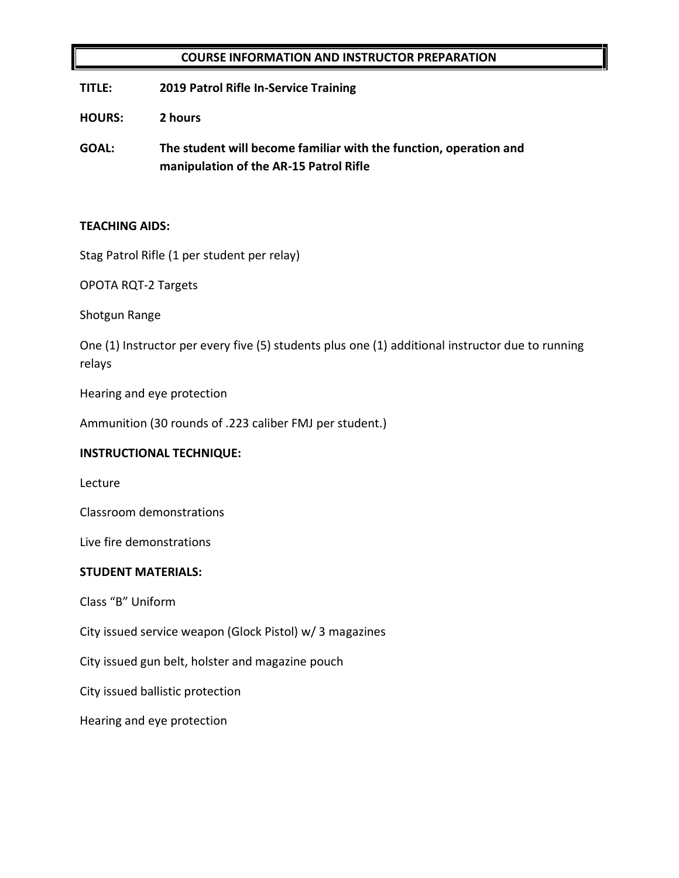## **COURSE INFORMATION AND INSTRUCTOR PREPARATION**

**TITLE: 2019 Patrol Rifle In-Service Training**

**HOURS: 2 hours**

**GOAL: The student will become familiar with the function, operation and manipulation of the AR-15 Patrol Rifle**

## **TEACHING AIDS:**

Stag Patrol Rifle (1 per student per relay)

OPOTA RQT-2 Targets

Shotgun Range

One (1) Instructor per every five (5) students plus one (1) additional instructor due to running relays

Hearing and eye protection

Ammunition (30 rounds of .223 caliber FMJ per student.)

## **INSTRUCTIONAL TECHNIQUE:**

Lecture

Classroom demonstrations

Live fire demonstrations

## **STUDENT MATERIALS:**

Class "B" Uniform

City issued service weapon (Glock Pistol) w/ 3 magazines

City issued gun belt, holster and magazine pouch

City issued ballistic protection

Hearing and eye protection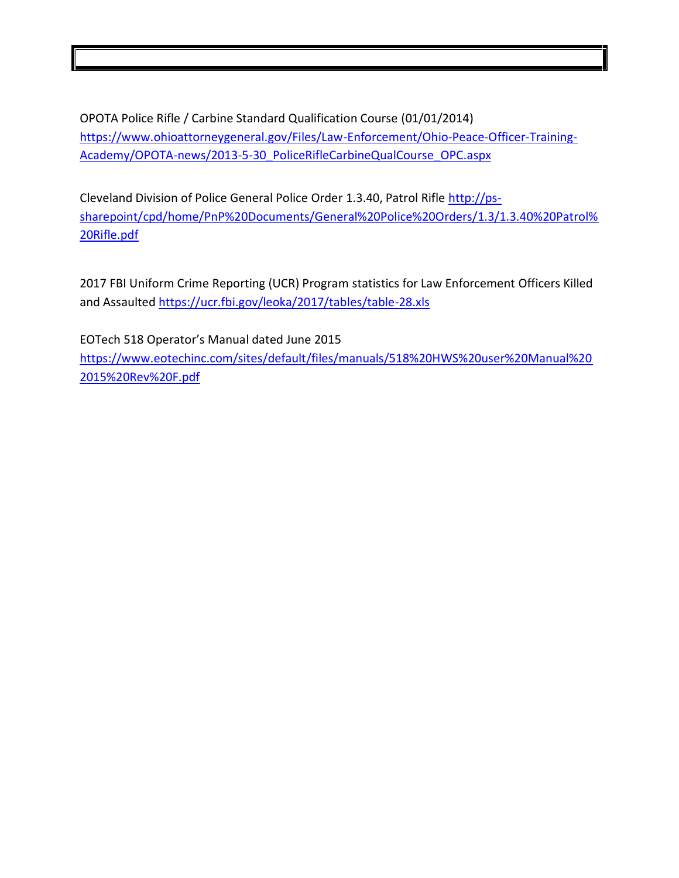OPOTA Police Rifle / Carbine Standard Qualification Course (01/01/2014) [https://www.ohioattorneygeneral.gov/Files/Law-Enforcement/Ohio-Peace-Officer-Training-](https://www.ohioattorneygeneral.gov/Files/Law-Enforcement/Ohio-Peace-Officer-Training-Academy/OPOTA-news/2013-5-30_PoliceRifleCarbineQualCourse_OPC.aspx)[Academy/OPOTA-news/2013-5-30\\_PoliceRifleCarbineQualCourse\\_OPC.aspx](https://www.ohioattorneygeneral.gov/Files/Law-Enforcement/Ohio-Peace-Officer-Training-Academy/OPOTA-news/2013-5-30_PoliceRifleCarbineQualCourse_OPC.aspx)

Cleveland Division of Police General Police Order 1.3.40, Patrol Rifle [http://ps](http://ps-sharepoint/cpd/home/PnP%20Documents/General%20Police%20Orders/1.3/1.3.40%20Patrol%20Rifle.pdf)[sharepoint/cpd/home/PnP%20Documents/General%20Police%20Orders/1.3/1.3.40%20Patrol%](http://ps-sharepoint/cpd/home/PnP%20Documents/General%20Police%20Orders/1.3/1.3.40%20Patrol%20Rifle.pdf) [20Rifle.pdf](http://ps-sharepoint/cpd/home/PnP%20Documents/General%20Police%20Orders/1.3/1.3.40%20Patrol%20Rifle.pdf)

2017 FBI Uniform Crime Reporting (UCR) Program statistics for Law Enforcement Officers Killed and Assaulted<https://ucr.fbi.gov/leoka/2017/tables/table-28.xls>

EOTech 518 Operator's Manual dated June 2015

[https://www.eotechinc.com/sites/default/files/manuals/518%20HWS%20user%20Manual%20](https://www.eotechinc.com/sites/default/files/manuals/518%20HWS%20user%20Manual%202015%20Rev%20F.pdf) [2015%20Rev%20F.pdf](https://www.eotechinc.com/sites/default/files/manuals/518%20HWS%20user%20Manual%202015%20Rev%20F.pdf)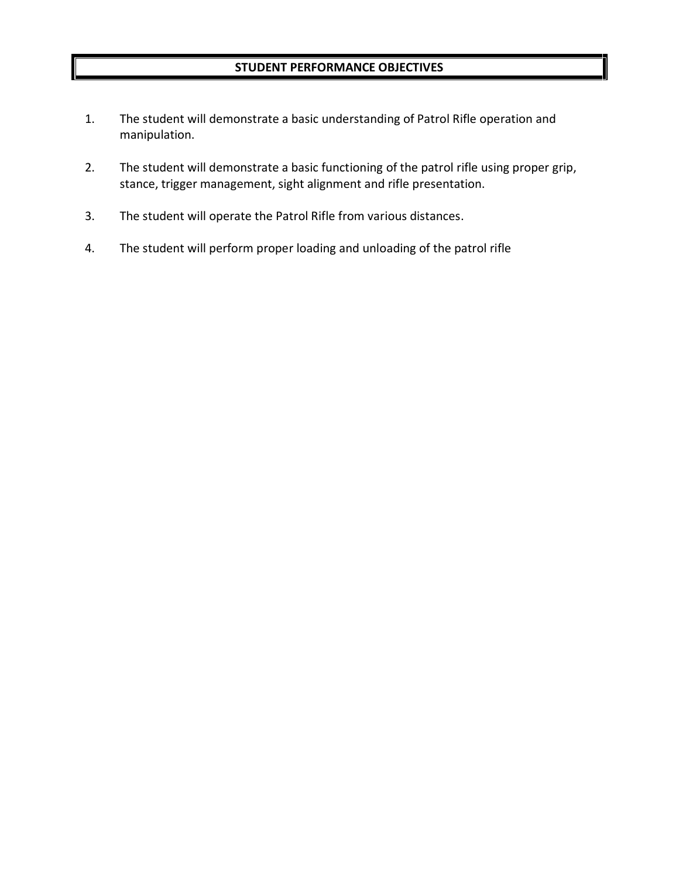- 1. The student will demonstrate a basic understanding of Patrol Rifle operation and manipulation.
- 2. The student will demonstrate a basic functioning of the patrol rifle using proper grip, stance, trigger management, sight alignment and rifle presentation.
- 3. The student will operate the Patrol Rifle from various distances.
- 4. The student will perform proper loading and unloading of the patrol rifle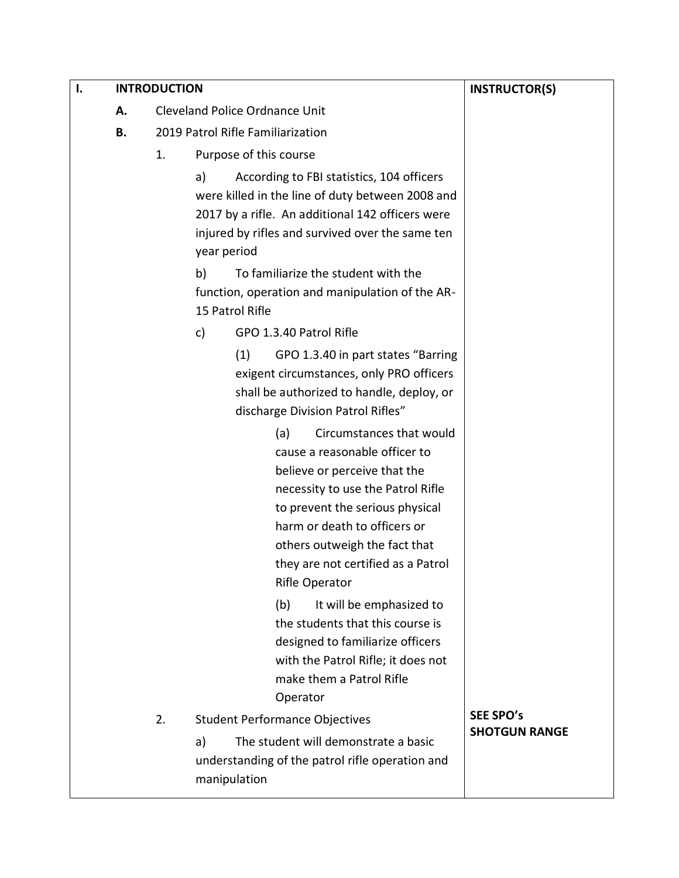| Ι. |    | <b>INTRODUCTION</b> |             |                                                                      | <b>INSTRUCTOR(S)</b> |
|----|----|---------------------|-------------|----------------------------------------------------------------------|----------------------|
|    | А. |                     |             | <b>Cleveland Police Ordnance Unit</b>                                |                      |
|    | В. |                     |             | 2019 Patrol Rifle Familiarization                                    |                      |
|    |    | 1.                  |             | Purpose of this course                                               |                      |
|    |    |                     | a)          | According to FBI statistics, 104 officers                            |                      |
|    |    |                     |             | were killed in the line of duty between 2008 and                     |                      |
|    |    |                     |             | 2017 by a rifle. An additional 142 officers were                     |                      |
|    |    |                     |             | injured by rifles and survived over the same ten                     |                      |
|    |    |                     | year period |                                                                      |                      |
|    |    |                     | b)          | To familiarize the student with the                                  |                      |
|    |    |                     |             | function, operation and manipulation of the AR-<br>15 Patrol Rifle   |                      |
|    |    |                     | c)          | GPO 1.3.40 Patrol Rifle                                              |                      |
|    |    |                     |             | GPO 1.3.40 in part states "Barring<br>(1)                            |                      |
|    |    |                     |             | exigent circumstances, only PRO officers                             |                      |
|    |    |                     |             | shall be authorized to handle, deploy, or                            |                      |
|    |    |                     |             | discharge Division Patrol Rifles"                                    |                      |
|    |    |                     |             | Circumstances that would<br>(a)                                      |                      |
|    |    |                     |             | cause a reasonable officer to                                        |                      |
|    |    |                     |             | believe or perceive that the                                         |                      |
|    |    |                     |             | necessity to use the Patrol Rifle<br>to prevent the serious physical |                      |
|    |    |                     |             | harm or death to officers or                                         |                      |
|    |    |                     |             | others outweigh the fact that                                        |                      |
|    |    |                     |             | they are not certified as a Patrol                                   |                      |
|    |    |                     |             | Rifle Operator                                                       |                      |
|    |    |                     |             | (b)<br>It will be emphasized to                                      |                      |
|    |    |                     |             | the students that this course is                                     |                      |
|    |    |                     |             | designed to familiarize officers                                     |                      |
|    |    |                     |             | with the Patrol Rifle; it does not                                   |                      |
|    |    |                     |             | make them a Patrol Rifle<br>Operator                                 |                      |
|    |    | 2.                  |             | <b>Student Performance Objectives</b>                                | <b>SEE SPO's</b>     |
|    |    |                     | a)          | The student will demonstrate a basic                                 | <b>SHOTGUN RANGE</b> |
|    |    |                     |             | understanding of the patrol rifle operation and<br>manipulation      |                      |
|    |    |                     |             |                                                                      |                      |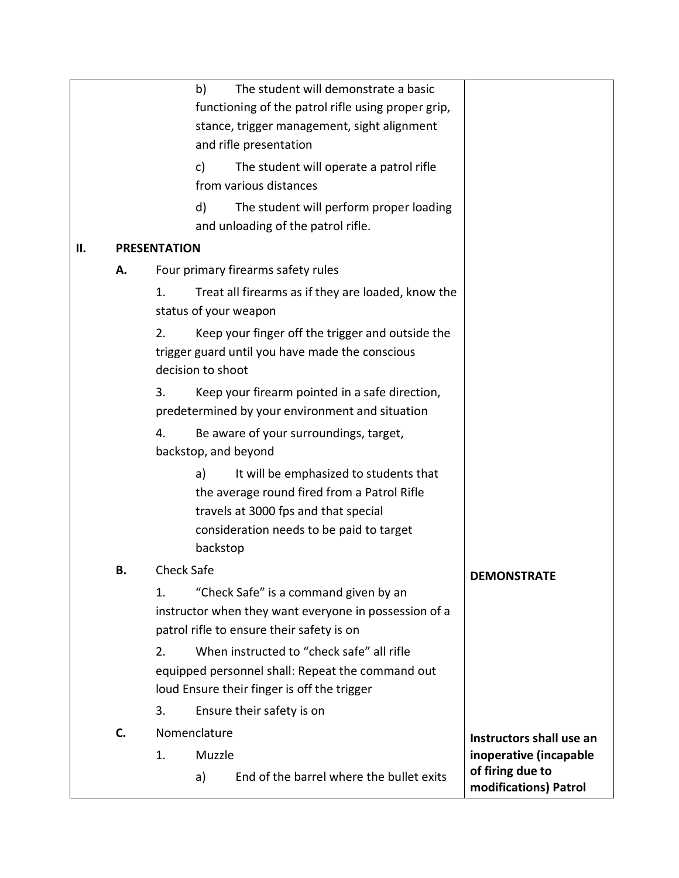|     |    | The student will demonstrate a basic<br>b)<br>functioning of the patrol rifle using proper grip,<br>stance, trigger management, sight alignment<br>and rifle presentation                   |                                           |
|-----|----|---------------------------------------------------------------------------------------------------------------------------------------------------------------------------------------------|-------------------------------------------|
|     |    | c)<br>The student will operate a patrol rifle<br>from various distances                                                                                                                     |                                           |
|     |    | d)<br>The student will perform proper loading<br>and unloading of the patrol rifle.                                                                                                         |                                           |
| ΙΙ. |    | <b>PRESENTATION</b>                                                                                                                                                                         |                                           |
|     | А. | Four primary firearms safety rules                                                                                                                                                          |                                           |
|     |    | Treat all firearms as if they are loaded, know the<br>1.<br>status of your weapon                                                                                                           |                                           |
|     |    | 2.<br>Keep your finger off the trigger and outside the<br>trigger guard until you have made the conscious<br>decision to shoot                                                              |                                           |
|     |    | Keep your firearm pointed in a safe direction,<br>3.<br>predetermined by your environment and situation                                                                                     |                                           |
|     |    | 4.<br>Be aware of your surroundings, target,<br>backstop, and beyond                                                                                                                        |                                           |
|     |    | It will be emphasized to students that<br>a)<br>the average round fired from a Patrol Rifle<br>travels at 3000 fps and that special<br>consideration needs to be paid to target<br>backstop |                                           |
|     | В. | <b>Check Safe</b>                                                                                                                                                                           | <b>DEMONSTRATE</b>                        |
|     |    | "Check Safe" is a command given by an<br>1.<br>instructor when they want everyone in possession of a<br>patrol rifle to ensure their safety is on                                           |                                           |
|     |    | When instructed to "check safe" all rifle<br>2.<br>equipped personnel shall: Repeat the command out<br>loud Ensure their finger is off the trigger                                          |                                           |
|     |    | 3.<br>Ensure their safety is on                                                                                                                                                             |                                           |
|     | C. | Nomenclature                                                                                                                                                                                | Instructors shall use an                  |
|     |    | Muzzle<br>1.                                                                                                                                                                                | inoperative (incapable                    |
|     |    | End of the barrel where the bullet exits<br>a)                                                                                                                                              | of firing due to<br>modifications) Patrol |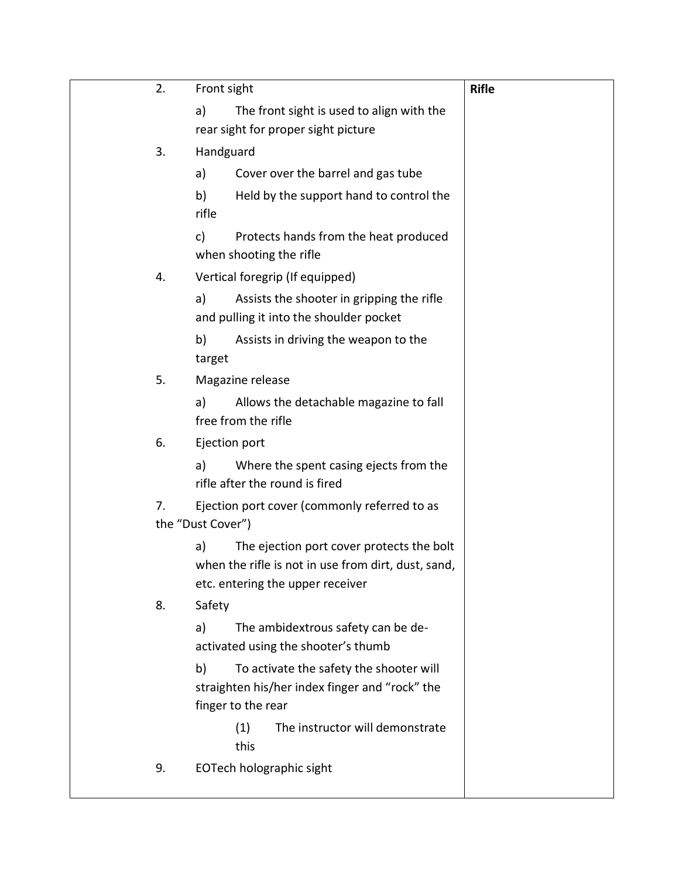| 2. | Front sight                                                                                                                                | <b>Rifle</b> |
|----|--------------------------------------------------------------------------------------------------------------------------------------------|--------------|
|    | The front sight is used to align with the<br>a)<br>rear sight for proper sight picture                                                     |              |
| 3. | Handguard                                                                                                                                  |              |
|    | Cover over the barrel and gas tube<br>a)                                                                                                   |              |
|    | b)<br>Held by the support hand to control the<br>rifle                                                                                     |              |
|    | Protects hands from the heat produced<br>c)<br>when shooting the rifle                                                                     |              |
| 4. | Vertical foregrip (If equipped)                                                                                                            |              |
|    | Assists the shooter in gripping the rifle<br>a)<br>and pulling it into the shoulder pocket                                                 |              |
|    | Assists in driving the weapon to the<br>b)<br>target                                                                                       |              |
| 5. | Magazine release                                                                                                                           |              |
|    | Allows the detachable magazine to fall<br>a)<br>free from the rifle                                                                        |              |
| 6. | Ejection port                                                                                                                              |              |
|    | Where the spent casing ejects from the<br>a)<br>rifle after the round is fired                                                             |              |
| 7. | Ejection port cover (commonly referred to as<br>the "Dust Cover")                                                                          |              |
|    | The ejection port cover protects the bolt<br>a)<br>when the rifle is not in use from dirt, dust, sand,<br>etc. entering the upper receiver |              |
| 8. | Safety                                                                                                                                     |              |
|    | The ambidextrous safety can be de-<br>a)<br>activated using the shooter's thumb                                                            |              |
|    | To activate the safety the shooter will<br>b)<br>straighten his/her index finger and "rock" the<br>finger to the rear                      |              |
|    | The instructor will demonstrate<br>(1)<br>this                                                                                             |              |
| 9. | EOTech holographic sight                                                                                                                   |              |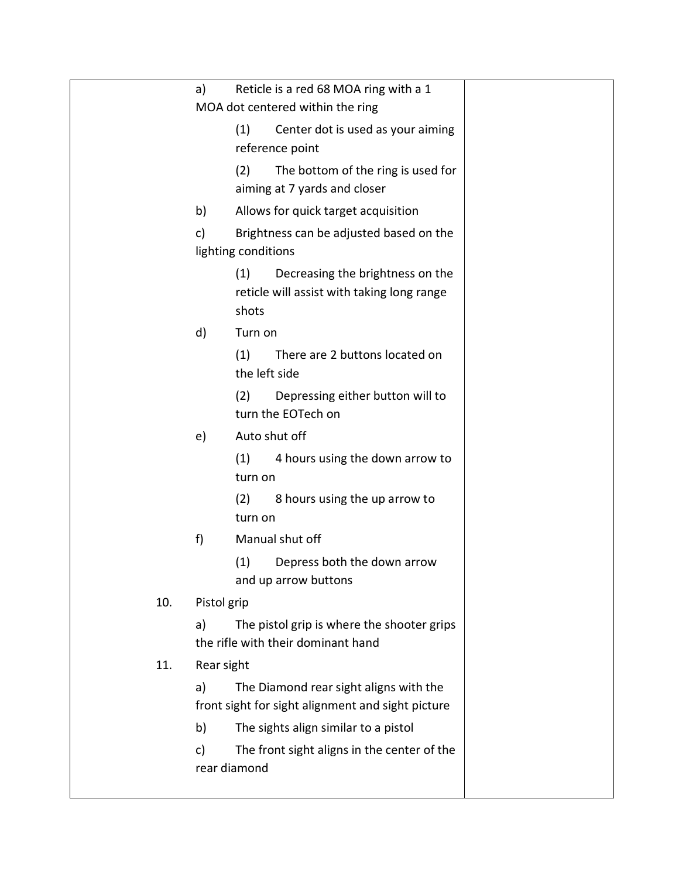|     | a)          | Reticle is a red 68 MOA ring with a 1                                                          |
|-----|-------------|------------------------------------------------------------------------------------------------|
|     |             | MOA dot centered within the ring                                                               |
|     |             | Center dot is used as your aiming<br>(1)<br>reference point                                    |
|     |             | The bottom of the ring is used for<br>(2)<br>aiming at 7 yards and closer                      |
|     | b)          | Allows for quick target acquisition                                                            |
|     | c)          | Brightness can be adjusted based on the                                                        |
|     |             | lighting conditions                                                                            |
|     |             | (1)<br>Decreasing the brightness on the<br>reticle will assist with taking long range<br>shots |
|     | d)          | Turn on                                                                                        |
|     |             | (1)<br>There are 2 buttons located on<br>the left side                                         |
|     |             | Depressing either button will to<br>(2)<br>turn the EOTech on                                  |
|     | e)          | Auto shut off                                                                                  |
|     |             | (1)<br>4 hours using the down arrow to<br>turn on                                              |
|     |             | 8 hours using the up arrow to<br>(2)<br>turn on                                                |
|     | f)          | Manual shut off                                                                                |
|     |             | (1)<br>Depress both the down arrow<br>and up arrow buttons                                     |
| 10. | Pistol grip |                                                                                                |
|     | a)          | The pistol grip is where the shooter grips<br>the rifle with their dominant hand               |
| 11. | Rear sight  |                                                                                                |
|     | a)          | The Diamond rear sight aligns with the<br>front sight for sight alignment and sight picture    |
|     | b)          | The sights align similar to a pistol                                                           |
|     | c)          | The front sight aligns in the center of the<br>rear diamond                                    |
|     |             |                                                                                                |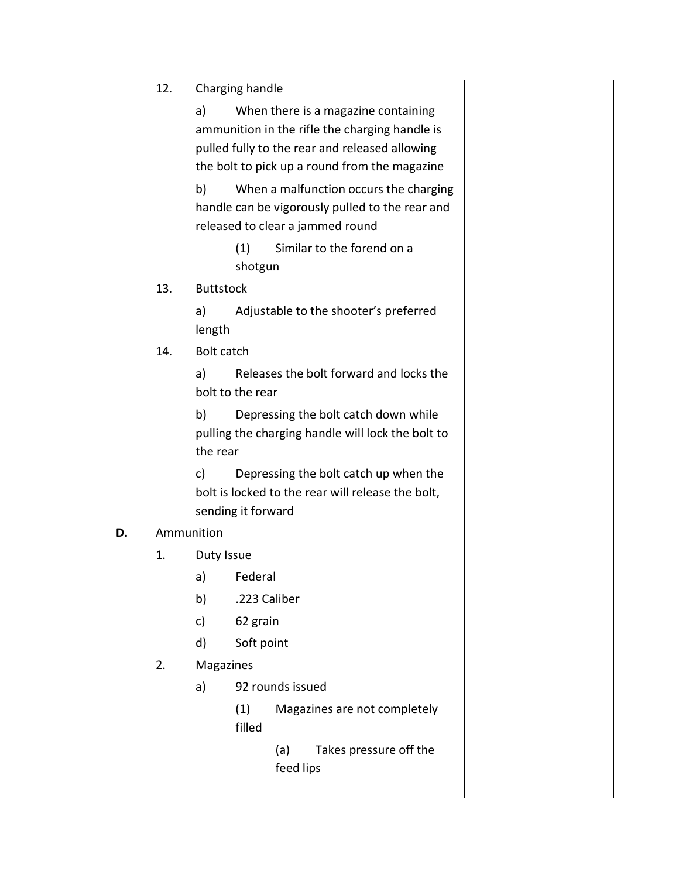| 12. | Charging handle |
|-----|-----------------|
|-----|-----------------|

a) When there is a magazine containing ammunition in the rifle the charging handle is pulled fully to the rear and released allowing the bolt to pick up a round from the magazine b) When a malfunction occurs the charging handle can be vigorously pulled to the rear and released to clear a jammed round (1) Similar to the forend on a shotgun 13. Buttstock a) Adjustable to the shooter's preferred length 14. Bolt catch a) Releases the bolt forward and locks the bolt to the rear b) Depressing the bolt catch down while pulling the charging handle will lock the bolt to the rear c) Depressing the bolt catch up when the bolt is locked to the rear will release the bolt, sending it forward **D.** Ammunition 1. Duty Issue a) Federal b) .223 Caliber c) 62 grain d) Soft point 2. Magazines a) 92 rounds issued (1) Magazines are not completely filled (a) Takes pressure off the feed lips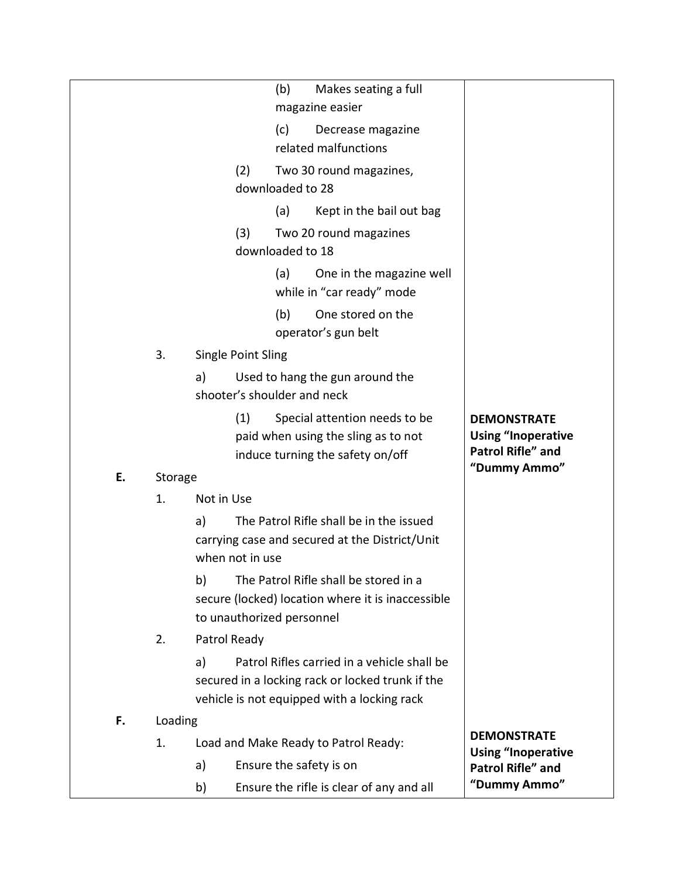|    |         |                             | (b)              | Makes seating a full<br>magazine easier                                                         |                                                       |
|----|---------|-----------------------------|------------------|-------------------------------------------------------------------------------------------------|-------------------------------------------------------|
|    |         |                             | (c)              | Decrease magazine<br>related malfunctions                                                       |                                                       |
|    |         | (2)                         |                  | Two 30 round magazines,                                                                         |                                                       |
|    |         |                             | downloaded to 28 |                                                                                                 |                                                       |
|    |         |                             | (a)              | Kept in the bail out bag                                                                        |                                                       |
|    |         | (3)                         |                  | Two 20 round magazines                                                                          |                                                       |
|    |         |                             | downloaded to 18 |                                                                                                 |                                                       |
|    |         |                             | (a)              | One in the magazine well<br>while in "car ready" mode                                           |                                                       |
|    |         |                             | (b)              | One stored on the<br>operator's gun belt                                                        |                                                       |
|    | 3.      | Single Point Sling          |                  |                                                                                                 |                                                       |
|    |         | a)                          |                  | Used to hang the gun around the                                                                 |                                                       |
|    |         | shooter's shoulder and neck |                  |                                                                                                 |                                                       |
|    |         | (1)                         |                  | Special attention needs to be                                                                   | <b>DEMONSTRATE</b>                                    |
|    |         |                             |                  | paid when using the sling as to not                                                             | <b>Using "Inoperative</b><br><b>Patrol Rifle" and</b> |
| Ε. | Storage |                             |                  | induce turning the safety on/off                                                                | "Dummy Ammo"                                          |
|    | 1.      | Not in Use                  |                  |                                                                                                 |                                                       |
|    |         | a)                          |                  | The Patrol Rifle shall be in the issued                                                         |                                                       |
|    |         |                             |                  | carrying case and secured at the District/Unit                                                  |                                                       |
|    |         | when not in use             |                  |                                                                                                 |                                                       |
|    |         | b)                          |                  | The Patrol Rifle shall be stored in a                                                           |                                                       |
|    |         |                             |                  | secure (locked) location where it is inaccessible                                               |                                                       |
|    |         | to unauthorized personnel   |                  |                                                                                                 |                                                       |
|    | 2.      | Patrol Ready                |                  |                                                                                                 |                                                       |
|    |         | a)                          |                  | Patrol Rifles carried in a vehicle shall be                                                     |                                                       |
|    |         |                             |                  | secured in a locking rack or locked trunk if the<br>vehicle is not equipped with a locking rack |                                                       |
| F. | Loading |                             |                  |                                                                                                 |                                                       |
|    | 1.      |                             |                  | Load and Make Ready to Patrol Ready:                                                            | <b>DEMONSTRATE</b>                                    |
|    |         | a)                          |                  | Ensure the safety is on                                                                         | <b>Using "Inoperative</b><br><b>Patrol Rifle" and</b> |
|    |         | b)                          |                  | Ensure the rifle is clear of any and all                                                        | "Dummy Ammo"                                          |
|    |         |                             |                  |                                                                                                 |                                                       |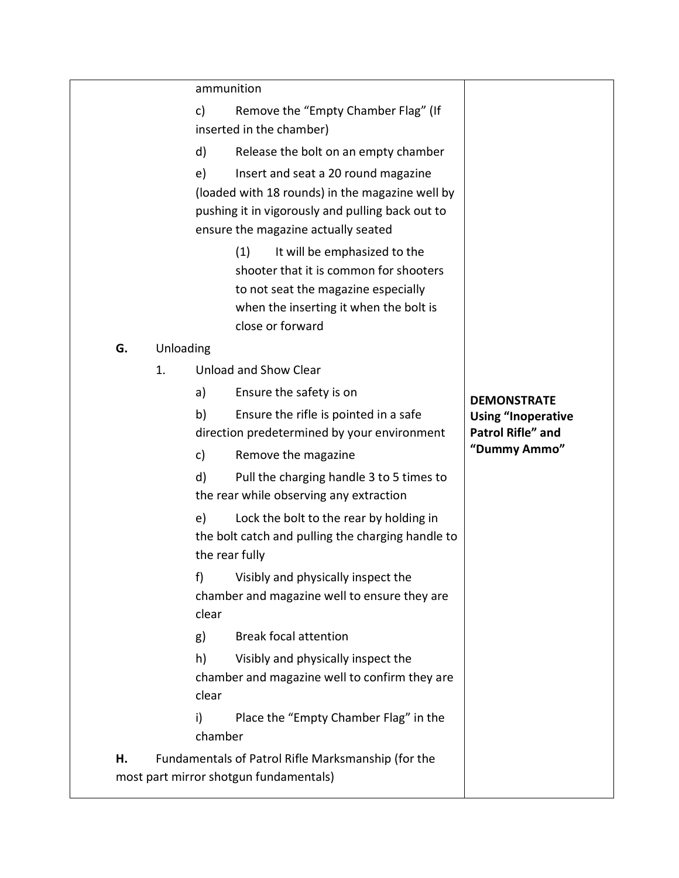|    |           | ammunition                                                                                                                                                                              |                                                       |
|----|-----------|-----------------------------------------------------------------------------------------------------------------------------------------------------------------------------------------|-------------------------------------------------------|
|    |           | Remove the "Empty Chamber Flag" (If<br>c)<br>inserted in the chamber)                                                                                                                   |                                                       |
|    |           | d)<br>Release the bolt on an empty chamber                                                                                                                                              |                                                       |
|    |           | e)<br>Insert and seat a 20 round magazine<br>(loaded with 18 rounds) in the magazine well by<br>pushing it in vigorously and pulling back out to<br>ensure the magazine actually seated |                                                       |
|    |           | It will be emphasized to the<br>(1)<br>shooter that it is common for shooters<br>to not seat the magazine especially<br>when the inserting it when the bolt is<br>close or forward      |                                                       |
| G. | Unloading |                                                                                                                                                                                         |                                                       |
|    | 1.        | Unload and Show Clear                                                                                                                                                                   |                                                       |
|    |           | a)<br>Ensure the safety is on                                                                                                                                                           | <b>DEMONSTRATE</b>                                    |
|    |           | Ensure the rifle is pointed in a safe<br>b)<br>direction predetermined by your environment                                                                                              | <b>Using "Inoperative</b><br><b>Patrol Rifle" and</b> |
|    |           | c)<br>Remove the magazine                                                                                                                                                               | "Dummy Ammo"                                          |
|    |           | d)<br>Pull the charging handle 3 to 5 times to<br>the rear while observing any extraction                                                                                               |                                                       |
|    |           | e)<br>Lock the bolt to the rear by holding in<br>the bolt catch and pulling the charging handle to<br>the rear fully                                                                    |                                                       |
|    |           | Visibly and physically inspect the<br>f)<br>chamber and magazine well to ensure they are<br>clear                                                                                       |                                                       |
|    |           | <b>Break focal attention</b><br>g)                                                                                                                                                      |                                                       |
|    |           | h)<br>Visibly and physically inspect the<br>chamber and magazine well to confirm they are<br>clear                                                                                      |                                                       |
|    |           | Place the "Empty Chamber Flag" in the<br>i)<br>chamber                                                                                                                                  |                                                       |
| н. |           | Fundamentals of Patrol Rifle Marksmanship (for the<br>most part mirror shotgun fundamentals)                                                                                            |                                                       |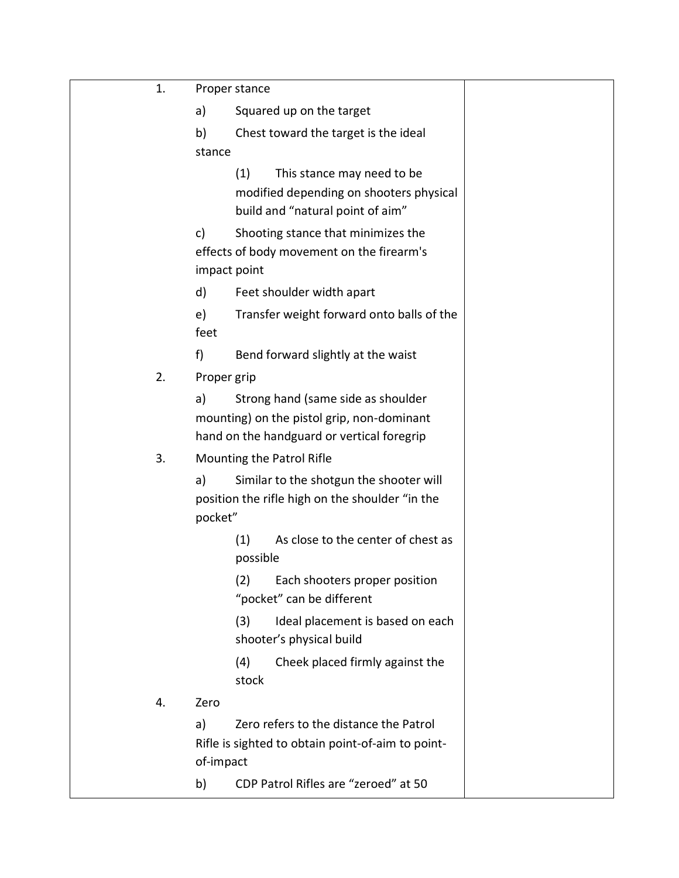| 1. | Proper stance                                                                                                                        |
|----|--------------------------------------------------------------------------------------------------------------------------------------|
|    | a)<br>Squared up on the target                                                                                                       |
|    | b)<br>Chest toward the target is the ideal                                                                                           |
|    | stance                                                                                                                               |
|    | (1)<br>This stance may need to be<br>modified depending on shooters physical<br>build and "natural point of aim"                     |
|    | Shooting stance that minimizes the<br>c)<br>effects of body movement on the firearm's<br>impact point                                |
|    | d)<br>Feet shoulder width apart                                                                                                      |
|    | e)<br>Transfer weight forward onto balls of the<br>feet                                                                              |
|    | f)<br>Bend forward slightly at the waist                                                                                             |
| 2. | Proper grip                                                                                                                          |
|    | a)<br>Strong hand (same side as shoulder<br>mounting) on the pistol grip, non-dominant<br>hand on the handguard or vertical foregrip |
| 3. | Mounting the Patrol Rifle                                                                                                            |
|    | a)<br>Similar to the shotgun the shooter will<br>position the rifle high on the shoulder "in the<br>pocket"                          |
|    | As close to the center of chest as<br>(1)<br>possible                                                                                |
|    | Each shooters proper position<br>(2)<br>"pocket" can be different                                                                    |
|    | Ideal placement is based on each<br>(3)<br>shooter's physical build                                                                  |
|    | Cheek placed firmly against the<br>(4)<br>stock                                                                                      |
| 4. | Zero                                                                                                                                 |
|    | Zero refers to the distance the Patrol<br>a)<br>Rifle is sighted to obtain point-of-aim to point-<br>of-impact                       |
|    | CDP Patrol Rifles are "zeroed" at 50<br>b)                                                                                           |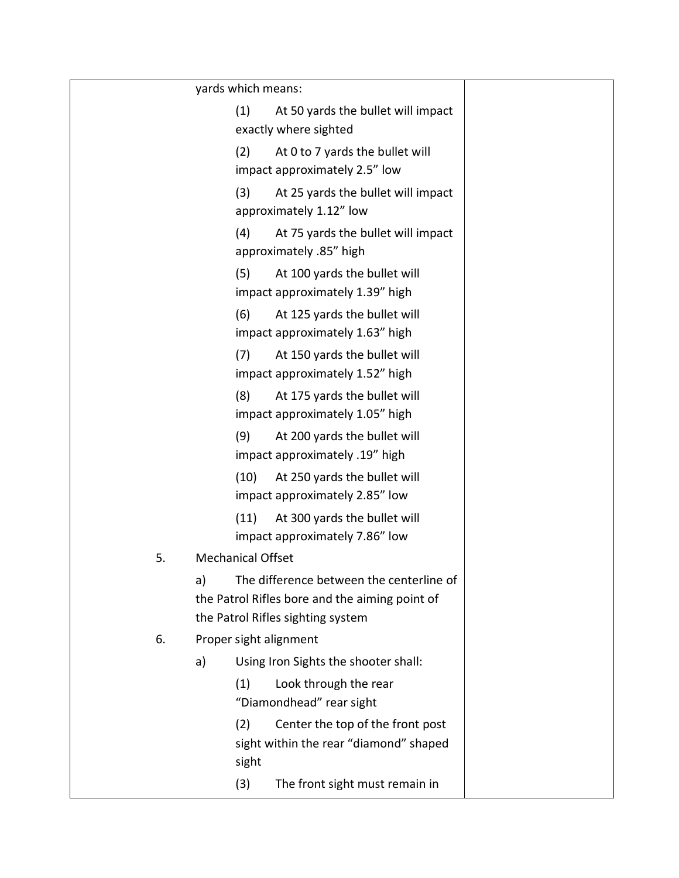|    | yards which means:                                                                                                                    |
|----|---------------------------------------------------------------------------------------------------------------------------------------|
|    | (1)<br>At 50 yards the bullet will impact<br>exactly where sighted                                                                    |
|    | (2)<br>At 0 to 7 yards the bullet will<br>impact approximately 2.5" low                                                               |
|    | (3)<br>At 25 yards the bullet will impact<br>approximately 1.12" low                                                                  |
|    | (4)<br>At 75 yards the bullet will impact<br>approximately .85" high                                                                  |
|    | (5)<br>At 100 yards the bullet will<br>impact approximately 1.39" high                                                                |
|    | (6)<br>At 125 yards the bullet will<br>impact approximately 1.63" high                                                                |
|    | (7)<br>At 150 yards the bullet will<br>impact approximately 1.52" high                                                                |
|    | (8)<br>At 175 yards the bullet will<br>impact approximately 1.05" high                                                                |
|    | (9)<br>At 200 yards the bullet will<br>impact approximately .19" high                                                                 |
|    | (10)<br>At 250 yards the bullet will<br>impact approximately 2.85" low                                                                |
|    | (11)<br>At 300 yards the bullet will<br>impact approximately 7.86" low                                                                |
| 5. | <b>Mechanical Offset</b>                                                                                                              |
|    | The difference between the centerline of<br>a)<br>the Patrol Rifles bore and the aiming point of<br>the Patrol Rifles sighting system |
| 6. | Proper sight alignment                                                                                                                |
|    | Using Iron Sights the shooter shall:<br>a)                                                                                            |
|    | Look through the rear<br>(1)<br>"Diamondhead" rear sight                                                                              |
|    | Center the top of the front post<br>(2)<br>sight within the rear "diamond" shaped<br>sight                                            |
|    | (3)<br>The front sight must remain in                                                                                                 |
|    |                                                                                                                                       |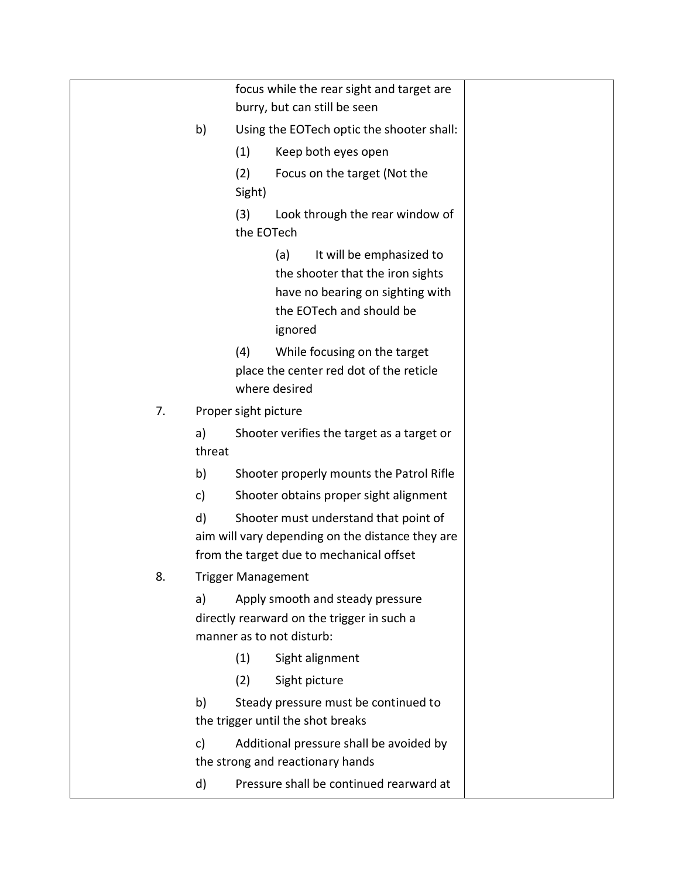|    |              | focus while the rear sight and target are<br>burry, but can still be seen                                                                      |
|----|--------------|------------------------------------------------------------------------------------------------------------------------------------------------|
|    | b)           | Using the EOTech optic the shooter shall:                                                                                                      |
|    |              | (1)<br>Keep both eyes open                                                                                                                     |
|    |              | (2)<br>Focus on the target (Not the<br>Sight)                                                                                                  |
|    |              | (3)<br>Look through the rear window of<br>the EOTech                                                                                           |
|    |              | It will be emphasized to<br>(a)<br>the shooter that the iron sights<br>have no bearing on sighting with<br>the EOTech and should be<br>ignored |
|    |              | (4)<br>While focusing on the target                                                                                                            |
|    |              | place the center red dot of the reticle                                                                                                        |
|    |              | where desired                                                                                                                                  |
| 7. |              | Proper sight picture                                                                                                                           |
|    | a)<br>threat | Shooter verifies the target as a target or                                                                                                     |
|    | b)           | Shooter properly mounts the Patrol Rifle                                                                                                       |
|    | c)           | Shooter obtains proper sight alignment                                                                                                         |
|    | d)           | Shooter must understand that point of                                                                                                          |
|    |              | aim will vary depending on the distance they are                                                                                               |
|    |              | from the target due to mechanical offset                                                                                                       |
| 8. |              | <b>Trigger Management</b>                                                                                                                      |
|    | a)           | Apply smooth and steady pressure<br>directly rearward on the trigger in such a<br>manner as to not disturb:                                    |
|    |              | Sight alignment<br>(1)                                                                                                                         |
|    |              | (2)<br>Sight picture                                                                                                                           |
|    | b)           | Steady pressure must be continued to                                                                                                           |
|    |              | the trigger until the shot breaks                                                                                                              |
|    | c)           | Additional pressure shall be avoided by<br>the strong and reactionary hands                                                                    |
|    | d)           | Pressure shall be continued rearward at                                                                                                        |
|    |              |                                                                                                                                                |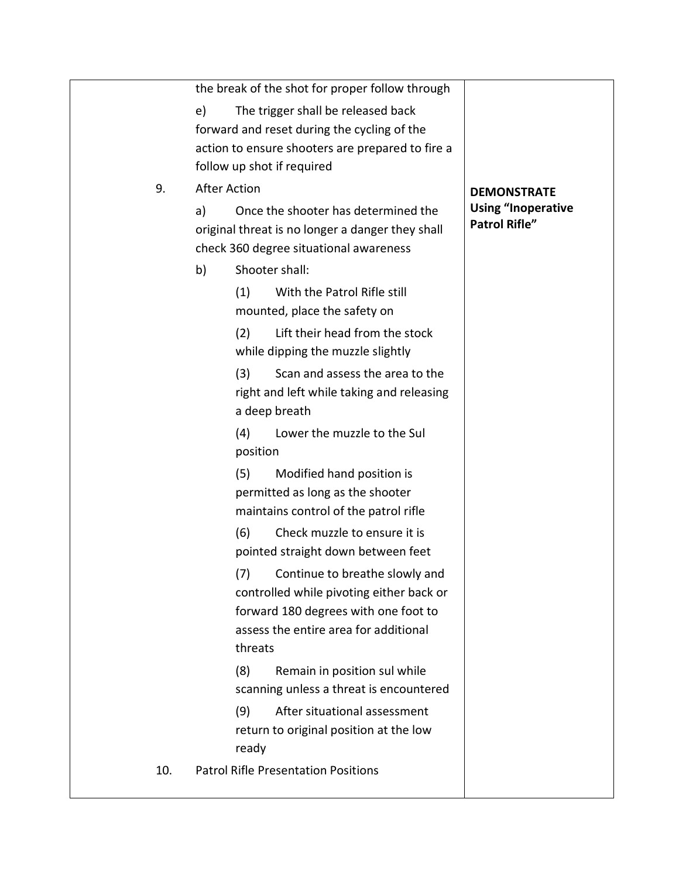|     | the break of the shot for proper follow through                                                                                                                               |
|-----|-------------------------------------------------------------------------------------------------------------------------------------------------------------------------------|
|     | The trigger shall be released back<br>e)                                                                                                                                      |
|     | forward and reset during the cycling of the                                                                                                                                   |
|     | action to ensure shooters are prepared to fire a                                                                                                                              |
|     | follow up shot if required                                                                                                                                                    |
| 9.  | <b>After Action</b><br><b>DEMONSTRATE</b>                                                                                                                                     |
|     | <b>Using "Inoperative</b><br>Once the shooter has determined the<br>a)<br><b>Patrol Rifle"</b><br>original threat is no longer a danger they shall                            |
|     | check 360 degree situational awareness                                                                                                                                        |
|     | Shooter shall:<br>b)                                                                                                                                                          |
|     | With the Patrol Rifle still<br>(1)                                                                                                                                            |
|     | mounted, place the safety on                                                                                                                                                  |
|     | Lift their head from the stock<br>(2)<br>while dipping the muzzle slightly                                                                                                    |
|     | Scan and assess the area to the<br>(3)<br>right and left while taking and releasing                                                                                           |
|     | a deep breath                                                                                                                                                                 |
|     | Lower the muzzle to the Sul<br>(4)                                                                                                                                            |
|     | position                                                                                                                                                                      |
|     | (5)<br>Modified hand position is<br>permitted as long as the shooter<br>maintains control of the patrol rifle                                                                 |
|     | (6)<br>Check muzzle to ensure it is<br>pointed straight down between feet                                                                                                     |
|     | Continue to breathe slowly and<br>(7)<br>controlled while pivoting either back or<br>forward 180 degrees with one foot to<br>assess the entire area for additional<br>threats |
|     | (8)<br>Remain in position sul while                                                                                                                                           |
|     | scanning unless a threat is encountered                                                                                                                                       |
|     | After situational assessment<br>(9)                                                                                                                                           |
|     | return to original position at the low                                                                                                                                        |
|     | ready                                                                                                                                                                         |
| 10. | <b>Patrol Rifle Presentation Positions</b>                                                                                                                                    |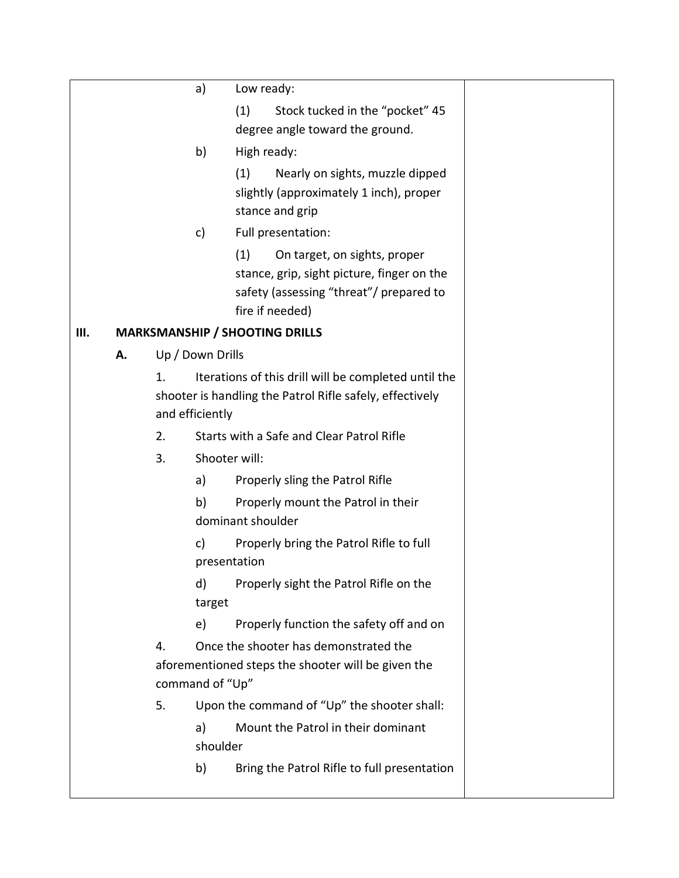|    |    |    | a)               | Low ready:                                                                                                                                      |
|----|----|----|------------------|-------------------------------------------------------------------------------------------------------------------------------------------------|
|    |    |    |                  | Stock tucked in the "pocket" 45<br>(1)<br>degree angle toward the ground.                                                                       |
|    |    |    | b)               | High ready:                                                                                                                                     |
|    |    |    |                  | (1)<br>Nearly on sights, muzzle dipped<br>slightly (approximately 1 inch), proper<br>stance and grip                                            |
|    |    |    | c)               | Full presentation:                                                                                                                              |
|    |    |    |                  | (1)<br>On target, on sights, proper<br>stance, grip, sight picture, finger on the<br>safety (assessing "threat"/ prepared to<br>fire if needed) |
| Ш. |    |    |                  | <b>MARKSMANSHIP / SHOOTING DRILLS</b>                                                                                                           |
|    | А. |    | Up / Down Drills |                                                                                                                                                 |
|    |    | 1. | and efficiently  | Iterations of this drill will be completed until the<br>shooter is handling the Patrol Rifle safely, effectively                                |
|    |    | 2. |                  | Starts with a Safe and Clear Patrol Rifle                                                                                                       |
|    |    | 3. | Shooter will:    |                                                                                                                                                 |
|    |    |    | a)               | Properly sling the Patrol Rifle                                                                                                                 |
|    |    |    | b)               | Properly mount the Patrol in their<br>dominant shoulder                                                                                         |
|    |    |    | c)               | Properly bring the Patrol Rifle to full<br>presentation                                                                                         |
|    |    |    | d)<br>target     | Properly sight the Patrol Rifle on the                                                                                                          |
|    |    |    | e)               | Properly function the safety off and on                                                                                                         |
|    |    | 4. | command of "Up"  | Once the shooter has demonstrated the<br>aforementioned steps the shooter will be given the                                                     |
|    |    | 5. |                  | Upon the command of "Up" the shooter shall:                                                                                                     |
|    |    |    | a)<br>shoulder   | Mount the Patrol in their dominant                                                                                                              |
|    |    |    | b)               | Bring the Patrol Rifle to full presentation                                                                                                     |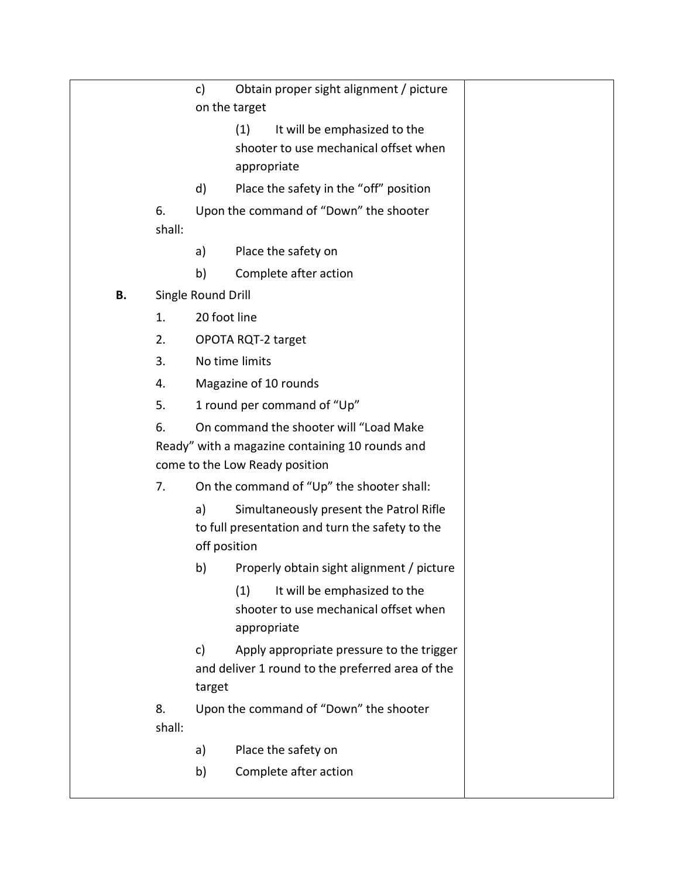|    |                    | c)                                               | Obtain proper sight alignment / picture<br>on the target                                   |  |  |  |
|----|--------------------|--------------------------------------------------|--------------------------------------------------------------------------------------------|--|--|--|
|    |                    |                                                  | It will be emphasized to the<br>(1)                                                        |  |  |  |
|    |                    |                                                  | shooter to use mechanical offset when                                                      |  |  |  |
|    |                    |                                                  | appropriate                                                                                |  |  |  |
|    |                    | d)                                               | Place the safety in the "off" position                                                     |  |  |  |
|    | 6.<br>shall:       |                                                  | Upon the command of "Down" the shooter                                                     |  |  |  |
|    |                    | a)                                               | Place the safety on                                                                        |  |  |  |
|    |                    | b)                                               | Complete after action                                                                      |  |  |  |
| В. | Single Round Drill |                                                  |                                                                                            |  |  |  |
|    | 1.                 | 20 foot line                                     |                                                                                            |  |  |  |
|    | 2.                 | OPOTA RQT-2 target                               |                                                                                            |  |  |  |
|    | 3.                 | No time limits                                   |                                                                                            |  |  |  |
|    | 4.                 |                                                  | Magazine of 10 rounds                                                                      |  |  |  |
|    | 5.                 | 1 round per command of "Up"                      |                                                                                            |  |  |  |
|    | 6.                 |                                                  | On command the shooter will "Load Make                                                     |  |  |  |
|    |                    |                                                  | Ready" with a magazine containing 10 rounds and                                            |  |  |  |
|    |                    |                                                  | come to the Low Ready position                                                             |  |  |  |
|    | 7.                 |                                                  | On the command of "Up" the shooter shall:                                                  |  |  |  |
|    |                    | a)                                               | Simultaneously present the Patrol Rifle<br>to full presentation and turn the safety to the |  |  |  |
|    |                    | off position                                     |                                                                                            |  |  |  |
|    |                    | b)                                               | Properly obtain sight alignment / picture                                                  |  |  |  |
|    |                    |                                                  | It will be emphasized to the<br>(1)                                                        |  |  |  |
|    |                    |                                                  | shooter to use mechanical offset when<br>appropriate                                       |  |  |  |
|    |                    | c)                                               | Apply appropriate pressure to the trigger                                                  |  |  |  |
|    |                    | and deliver 1 round to the preferred area of the |                                                                                            |  |  |  |
|    |                    | target                                           |                                                                                            |  |  |  |
|    | 8.<br>shall:       |                                                  | Upon the command of "Down" the shooter                                                     |  |  |  |
|    |                    | a)                                               | Place the safety on                                                                        |  |  |  |
|    |                    | b)                                               | Complete after action                                                                      |  |  |  |
|    |                    |                                                  |                                                                                            |  |  |  |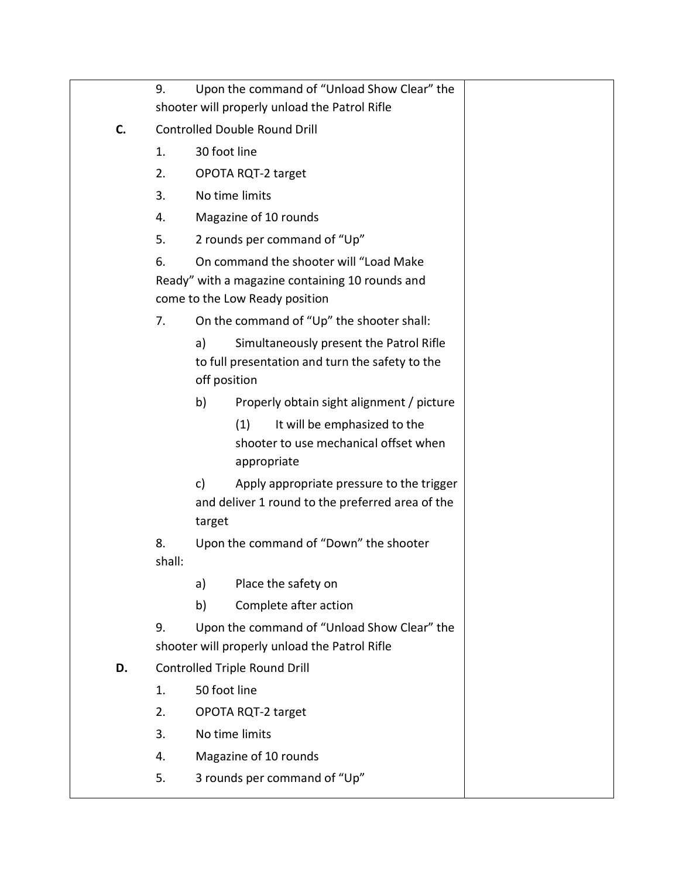|    | Upon the command of "Unload Show Clear" the<br>9.                                 |                       |                                                                                               |  |  |  |  |
|----|-----------------------------------------------------------------------------------|-----------------------|-----------------------------------------------------------------------------------------------|--|--|--|--|
|    |                                                                                   |                       | shooter will properly unload the Patrol Rifle                                                 |  |  |  |  |
| C. | <b>Controlled Double Round Drill</b>                                              |                       |                                                                                               |  |  |  |  |
|    | 1.                                                                                | 30 foot line          |                                                                                               |  |  |  |  |
|    | 2.                                                                                |                       | OPOTA RQT-2 target                                                                            |  |  |  |  |
|    | 3.                                                                                |                       | No time limits                                                                                |  |  |  |  |
|    | 4.                                                                                |                       | Magazine of 10 rounds                                                                         |  |  |  |  |
|    | 5.                                                                                |                       | 2 rounds per command of "Up"                                                                  |  |  |  |  |
|    | 6.                                                                                |                       | On command the shooter will "Load Make                                                        |  |  |  |  |
|    | Ready" with a magazine containing 10 rounds and<br>come to the Low Ready position |                       |                                                                                               |  |  |  |  |
|    |                                                                                   |                       |                                                                                               |  |  |  |  |
|    | 7.                                                                                |                       | On the command of "Up" the shooter shall:                                                     |  |  |  |  |
|    |                                                                                   | a)                    | Simultaneously present the Patrol Rifle                                                       |  |  |  |  |
|    |                                                                                   | off position          | to full presentation and turn the safety to the                                               |  |  |  |  |
|    |                                                                                   | b)                    | Properly obtain sight alignment / picture                                                     |  |  |  |  |
|    |                                                                                   |                       | (1)<br>It will be emphasized to the                                                           |  |  |  |  |
|    |                                                                                   |                       | shooter to use mechanical offset when<br>appropriate                                          |  |  |  |  |
|    |                                                                                   | c)<br>target          | Apply appropriate pressure to the trigger<br>and deliver 1 round to the preferred area of the |  |  |  |  |
|    | 8.<br>shall:                                                                      |                       | Upon the command of "Down" the shooter                                                        |  |  |  |  |
|    |                                                                                   | a)                    | Place the safety on                                                                           |  |  |  |  |
|    |                                                                                   | b)                    | Complete after action                                                                         |  |  |  |  |
|    | 9.                                                                                |                       | Upon the command of "Unload Show Clear" the                                                   |  |  |  |  |
|    |                                                                                   |                       | shooter will properly unload the Patrol Rifle                                                 |  |  |  |  |
| D. |                                                                                   |                       | Controlled Triple Round Drill                                                                 |  |  |  |  |
|    | 1.                                                                                | 50 foot line          |                                                                                               |  |  |  |  |
|    | 2.                                                                                |                       | OPOTA RQT-2 target                                                                            |  |  |  |  |
|    | 3.                                                                                |                       | No time limits                                                                                |  |  |  |  |
|    | 4.                                                                                | Magazine of 10 rounds |                                                                                               |  |  |  |  |
|    | 5.                                                                                |                       | 3 rounds per command of "Up"                                                                  |  |  |  |  |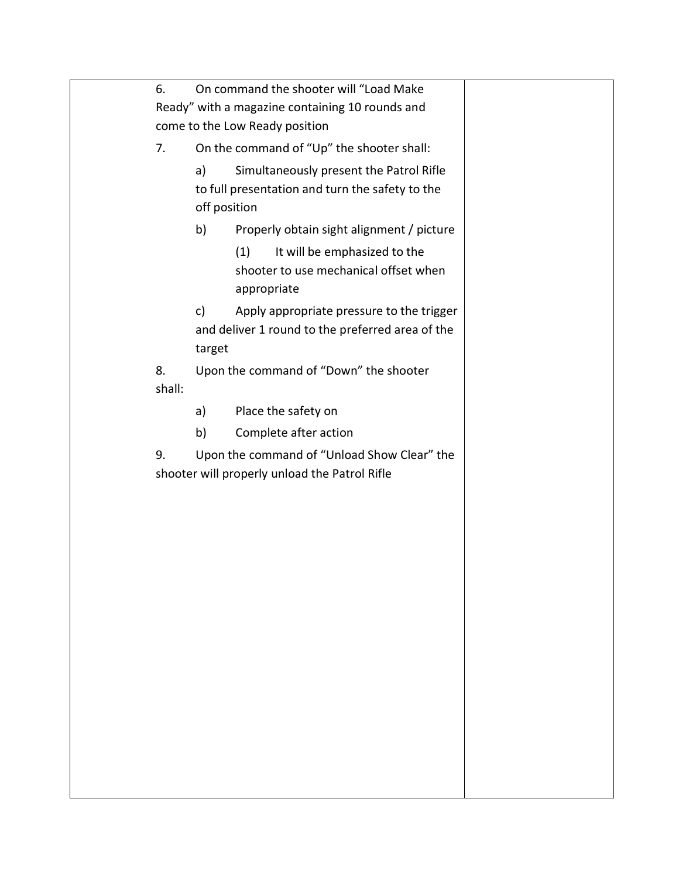| 6.                             |                                               |                                                      |  |
|--------------------------------|-----------------------------------------------|------------------------------------------------------|--|
|                                |                                               | Ready" with a magazine containing 10 rounds and      |  |
| come to the Low Ready position |                                               |                                                      |  |
| 7.                             | On the command of "Up" the shooter shall:     |                                                      |  |
|                                | a)                                            | Simultaneously present the Patrol Rifle              |  |
|                                |                                               | to full presentation and turn the safety to the      |  |
|                                | off position                                  |                                                      |  |
|                                | b)                                            | Properly obtain sight alignment / picture            |  |
|                                |                                               | It will be emphasized to the<br>(1)                  |  |
|                                |                                               | shooter to use mechanical offset when<br>appropriate |  |
|                                | c)                                            | Apply appropriate pressure to the trigger            |  |
|                                |                                               | and deliver 1 round to the preferred area of the     |  |
|                                |                                               |                                                      |  |
| 8.                             |                                               | Upon the command of "Down" the shooter               |  |
| shall:                         |                                               |                                                      |  |
|                                | a)                                            | Place the safety on                                  |  |
|                                | b)                                            | Complete after action                                |  |
| 9.                             | Upon the command of "Unload Show Clear" the   |                                                      |  |
|                                | shooter will properly unload the Patrol Rifle |                                                      |  |
|                                |                                               |                                                      |  |
|                                |                                               |                                                      |  |
|                                |                                               |                                                      |  |
|                                |                                               |                                                      |  |
|                                |                                               |                                                      |  |
|                                |                                               |                                                      |  |
|                                |                                               |                                                      |  |
|                                |                                               |                                                      |  |
|                                |                                               |                                                      |  |
|                                |                                               |                                                      |  |
|                                |                                               |                                                      |  |
|                                |                                               |                                                      |  |
|                                |                                               |                                                      |  |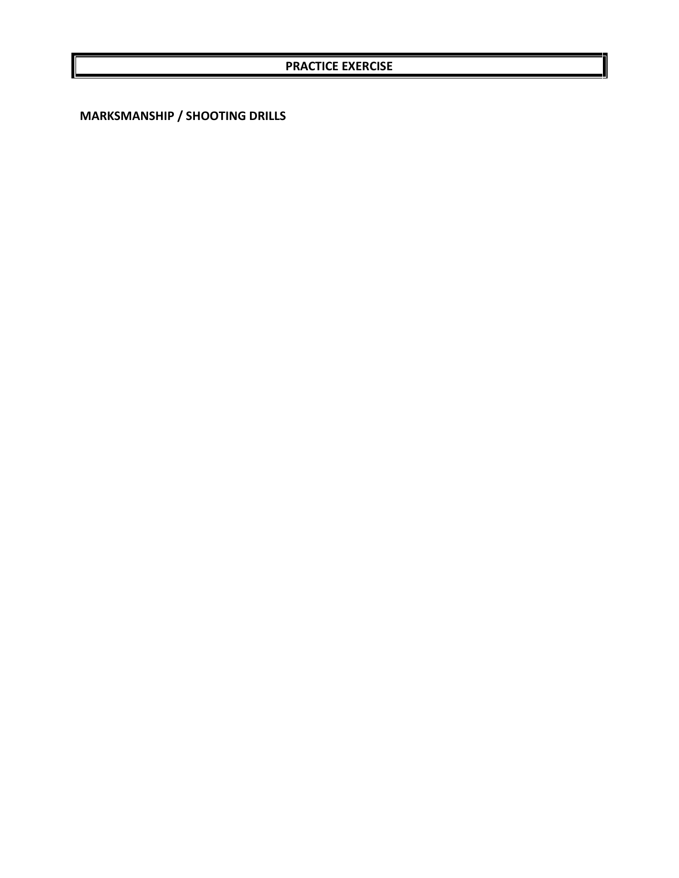**MARKSMANSHIP / SHOOTING DRILLS**